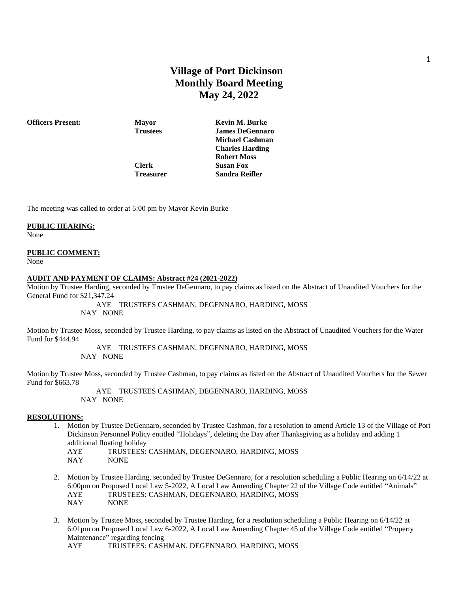# **Village of Port Dickinson Monthly Board Meeting May 24, 2022**

**Officers Present: Mayor Kevin M. Burke Trustees James DeGennaro Michael Cashman Charles Harding Robert Moss Clerk Susan Fox Treasurer Sandra Reifler**

The meeting was called to order at 5:00 pm by Mayor Kevin Burke

# **PUBLIC HEARING:**

None

# **PUBLIC COMMENT:**

None

#### **AUDIT AND PAYMENT OF CLAIMS: Abstract #24 (2021-2022)**

Motion by Trustee Harding, seconded by Trustee DeGennaro, to pay claims as listed on the Abstract of Unaudited Vouchers for the General Fund for \$21,347.24

> AYE TRUSTEES CASHMAN, DEGENNARO, HARDING, MOSS NAY NONE

Motion by Trustee Moss, seconded by Trustee Harding, to pay claims as listed on the Abstract of Unaudited Vouchers for the Water Fund for \$444.94

> AYE TRUSTEES CASHMAN, DEGENNARO, HARDING, MOSS NAY NONE

Motion by Trustee Moss, seconded by Trustee Cashman, to pay claims as listed on the Abstract of Unaudited Vouchers for the Sewer Fund for \$663.78

> AYE TRUSTEES CASHMAN, DEGENNARO, HARDING, MOSS NAY NONE

#### **RESOLUTIONS:**

- 1. Motion by Trustee DeGennaro, seconded by Trustee Cashman, for a resolution to amend Article 13 of the Village of Port Dickinson Personnel Policy entitled "Holidays", deleting the Day after Thanksgiving as a holiday and adding 1 additional floating holiday AYE TRUSTEES: CASHMAN, DEGENNARO, HARDING, MOSS
	- NAY NONE
- 2. Motion by Trustee Harding, seconded by Trustee DeGennaro, for a resolution scheduling a Public Hearing on 6/14/22 at 6:00pm on Proposed Local Law 5-2022, A Local Law Amending Chapter 22 of the Village Code entitled "Animals" AYE TRUSTEES: CASHMAN, DEGENNARO, HARDING, MOSS NAY NONE
- 3. Motion by Trustee Moss, seconded by Trustee Harding, for a resolution scheduling a Public Hearing on 6/14/22 at 6:01pm on Proposed Local Law 6-2022, A Local Law Amending Chapter 45 of the Village Code entitled "Property Maintenance" regarding fencing